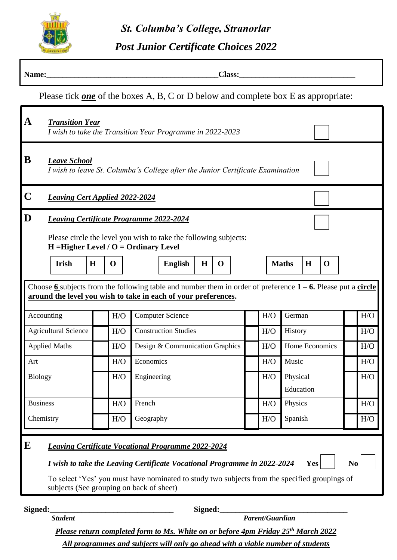

*St. Columba's College, Stranorlar*

*Post Junior Certificate Choices 2022*

| Name:<br>Class:                                                                           |                                                                                                                                                                                                                                                                                                             |             |             |  |                                 |                |             |             |  |                 |     |                       |         |             |  |  |     |
|-------------------------------------------------------------------------------------------|-------------------------------------------------------------------------------------------------------------------------------------------------------------------------------------------------------------------------------------------------------------------------------------------------------------|-------------|-------------|--|---------------------------------|----------------|-------------|-------------|--|-----------------|-----|-----------------------|---------|-------------|--|--|-----|
| Please tick <u>one</u> of the boxes A, B, C or D below and complete box E as appropriate: |                                                                                                                                                                                                                                                                                                             |             |             |  |                                 |                |             |             |  |                 |     |                       |         |             |  |  |     |
| $\mathbf A$                                                                               | <b>Transition Year</b><br>I wish to take the Transition Year Programme in 2022-2023                                                                                                                                                                                                                         |             |             |  |                                 |                |             |             |  |                 |     |                       |         |             |  |  |     |
| B                                                                                         | <b>Leave School</b><br>I wish to leave St. Columba's College after the Junior Certificate Examination                                                                                                                                                                                                       |             |             |  |                                 |                |             |             |  |                 |     |                       |         |             |  |  |     |
| $\mathbf C$                                                                               | <b>Leaving Cert Applied 2022-2024</b>                                                                                                                                                                                                                                                                       |             |             |  |                                 |                |             |             |  |                 |     |                       |         |             |  |  |     |
| D                                                                                         | <b>Leaving Certificate Programme 2022-2024</b><br>Please circle the level you wish to take the following subjects:<br>$H = Higher Level / O = Ordinary Level$                                                                                                                                               |             |             |  |                                 |                |             |             |  |                 |     |                       |         |             |  |  |     |
|                                                                                           | Irish                                                                                                                                                                                                                                                                                                       | $\mathbf H$ | $\mathbf 0$ |  |                                 | <b>English</b> | $\mathbf H$ | $\mathbf 0$ |  |                 |     | <b>Maths</b>          | $\bf H$ | $\mathbf 0$ |  |  |     |
|                                                                                           | Choose 6 subjects from the following table and number them in order of preference $1 - 6$ . Please put a circle<br>around the level you wish to take in each of your preferences.                                                                                                                           |             |             |  |                                 |                |             |             |  |                 |     |                       |         |             |  |  |     |
| Accounting                                                                                |                                                                                                                                                                                                                                                                                                             |             | H/O         |  | <b>Computer Science</b>         |                |             |             |  |                 | H/O | German                |         |             |  |  | H/O |
| <b>Agricultural Science</b>                                                               |                                                                                                                                                                                                                                                                                                             |             | H/O         |  | <b>Construction Studies</b>     |                |             |             |  |                 | H/O | History               |         |             |  |  | H/O |
| <b>Applied Maths</b>                                                                      |                                                                                                                                                                                                                                                                                                             |             | H/O         |  | Design & Communication Graphics |                |             |             |  |                 | H/O | Home Economics        |         |             |  |  | H/O |
| Art                                                                                       |                                                                                                                                                                                                                                                                                                             |             | H/O         |  | Economics                       |                |             |             |  |                 | H/O | Music                 |         |             |  |  | H/O |
| <b>Biology</b>                                                                            |                                                                                                                                                                                                                                                                                                             |             | H/O         |  | Engineering                     |                |             |             |  |                 | H/O | Physical<br>Education |         |             |  |  | H/O |
| <b>Business</b>                                                                           |                                                                                                                                                                                                                                                                                                             |             | H/O         |  | French                          |                |             |             |  |                 | H/O | Physics               |         |             |  |  | H/O |
| Chemistry                                                                                 |                                                                                                                                                                                                                                                                                                             |             | H/O         |  | Geography                       |                |             |             |  |                 | H/O | Spanish<br>H/O        |         |             |  |  |     |
| E                                                                                         | <b>Leaving Certificate Vocational Programme 2022-2024</b><br>I wish to take the Leaving Certificate Vocational Programme in 2022-2024<br>N <sub>0</sub><br>Yes<br>To select 'Yes' you must have nominated to study two subjects from the specified groupings of<br>subjects (See grouping on back of sheet) |             |             |  |                                 |                |             |             |  |                 |     |                       |         |             |  |  |     |
| Signed:                                                                                   | <b>Student</b>                                                                                                                                                                                                                                                                                              |             |             |  |                                 |                | Signed:     |             |  | Parent/Guardian |     |                       |         |             |  |  |     |

*Please return completed form to Ms. White on or before 4pm Friday 25th March 2022 All programmes and subjects will only go ahead with a viable number of students*